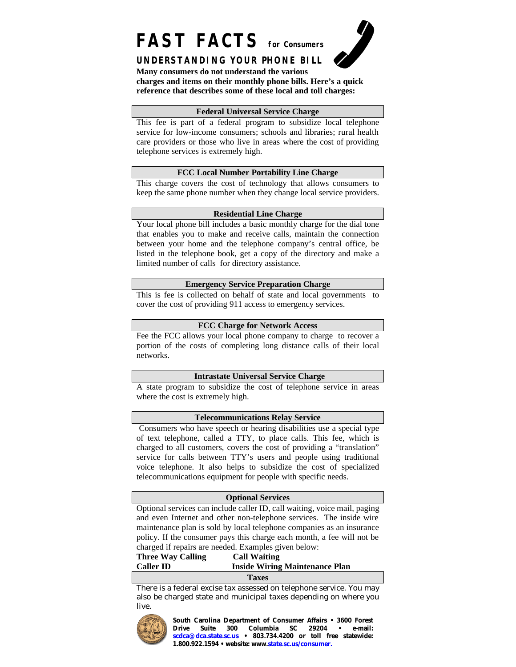# **FAST FACTS for Consumers**



# **UNDERSTANDING YOUR PHONE BILL**

**Many consumers do not understand the various** 

**charges and items on their monthly phone bills. Here's a quick reference that describes some of these local and toll charges:**

#### **Federal Universal Service Charge**

This fee is part of a federal program to subsidize local telephone service for low-income consumers; schools and libraries; rural health care providers or those who live in areas where the cost of providing telephone services is extremely high.

# **FCC Local Number Portability Line Charge**

This charge covers the cost of technology that allows consumers to keep the same phone number when they change local service providers.

#### **Residential Line Charge**

Your local phone bill includes a basic monthly charge for the dial tone that enables you to make and receive calls, maintain the connection between your home and the telephone company's central office, be listed in the telephone book, get a copy of the directory and make a limited number of calls for directory assistance.

#### **Emergency Service Preparation Charge**

This is fee is collected on behalf of state and local governments to cover the cost of providing 911 access to emergency services.

# **FCC Charge for Network Access**

Fee the FCC allows your local phone company to charge to recover a portion of the costs of completing long distance calls of their local networks.

#### **Intrastate Universal Service Charge**

A state program to subsidize the cost of telephone service in areas where the cost is extremely high.

#### **Telecommunications Relay Service**

 Consumers who have speech or hearing disabilities use a special type of text telephone, called a TTY, to place calls. This fee, which is charged to all customers, covers the cost of providing a "translation" service for calls between TTY's users and people using traditional voice telephone. It also helps to subsidize the cost of specialized telecommunications equipment for people with specific needs.

#### **Optional Services**

Optional services can include caller ID, call waiting, voice mail, paging and even Internet and other non-telephone services. The inside wire maintenance plan is sold by local telephone companies as an insurance policy. If the consumer pays this charge each month, a fee will not be charged if repairs are needed. Examples given below:

**Three Way Calling Call Waiting Caller ID Inside Wiring Maintenance Plan** 

#### **Taxes**

There is a federal excise tax assessed on telephone service. You may also be charged state and municipal taxes depending on where you live.



**South Carolina Department of Consumer Affairs • 3600 Forest Drive Suite 300 Columbia SC 29204 • e-mail: scdca@dca.state.sc.us • 803.734.4200 or toll free statewide: 1.800.922.1594 • website: www.state.sc.us/consumer.**